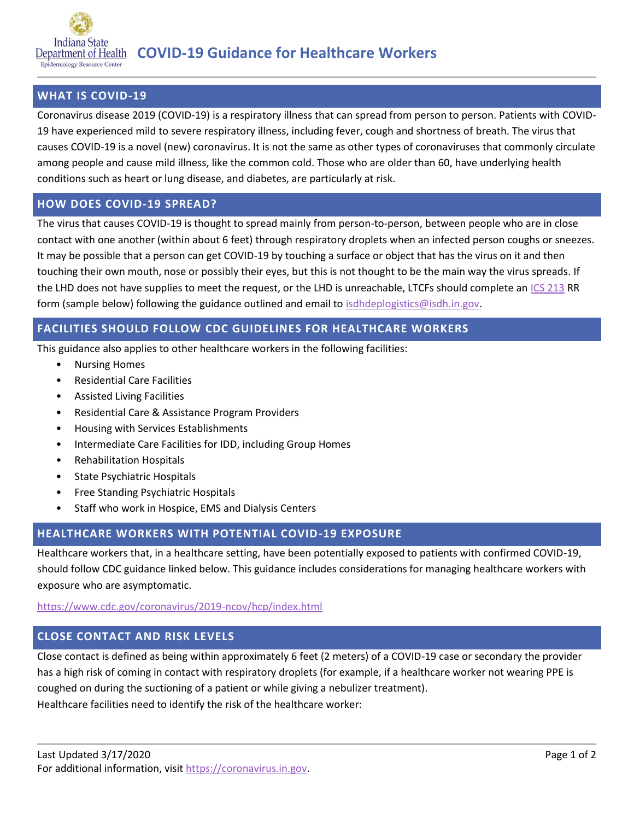

### **WHAT IS COVID-19**

Coronavirus disease 2019 (COVID-19) is a respiratory illness that can spread from person to person. Patients with COVID-19 have experienced mild to severe respiratory illness, including fever, cough and shortness of breath. The virus that causes COVID-19 is a novel (new) coronavirus. It is not the same as other types of coronaviruses that commonly circulate among people and cause mild illness, like the common cold. Those who are older than 60, have underlying health conditions such as heart or lung disease, and diabetes, are particularly at risk.

#### **HOW DOES COVID-19 SPREAD?**

The virus that causes COVID-19 is thought to spread mainly from person-to-person, between people who are in close contact with one another (within about 6 feet) through respiratory droplets when an infected person coughs or sneezes. It may be possible that a person can get COVID-19 by touching a surface or object that has the virus on it and then touching their own mouth, nose or possibly their eyes, but this is not thought to be the main way the virus spreads. If the LHD does not have supplies to meet the request, or the LHD is unreachable, LTCFs should complete an [ICS 213](https://www.coronavirus.in.gov/files/213RR.pdf) RR form (sample below) following the guidance outlined and email to [isdhdeplogistics@isdh.in.gov.](mailto:isdhdeplogistics@isdh.in.gov)

#### **FACILITIES SHOULD FOLLOW CDC GUIDELINES FOR HEALTHCARE WORKERS**

This guidance also applies to other healthcare workers in the following facilities:

- Nursing Homes
- Residential Care Facilities
- Assisted Living Facilities
- Residential Care & Assistance Program Providers
- Housing with Services Establishments
- Intermediate Care Facilities for IDD, including Group Homes
- Rehabilitation Hospitals
- State Psychiatric Hospitals
- Free Standing Psychiatric Hospitals
- Staff who work in Hospice, EMS and Dialysis Centers

# **HEALTHCARE WORKERS WITH POTENTIAL COVID-19 EXPOSURE**

Healthcare workers that, in a healthcare setting, have been potentially exposed to patients with confirmed COVID-19, should follow CDC guidance linked below. This guidance includes considerations for managing healthcare workers with exposure who are asymptomatic.

<https://www.cdc.gov/coronavirus/2019-ncov/hcp/index.html>

# **CLOSE CONTACT AND RISK LEVELS**

Close contact is defined as being within approximately 6 feet (2 meters) of a COVID-19 case or secondary the provider has a high risk of coming in contact with respiratory droplets (for example, if a healthcare worker not wearing PPE is coughed on during the suctioning of a patient or while giving a nebulizer treatment). Healthcare facilities need to identify the risk of the healthcare worker: